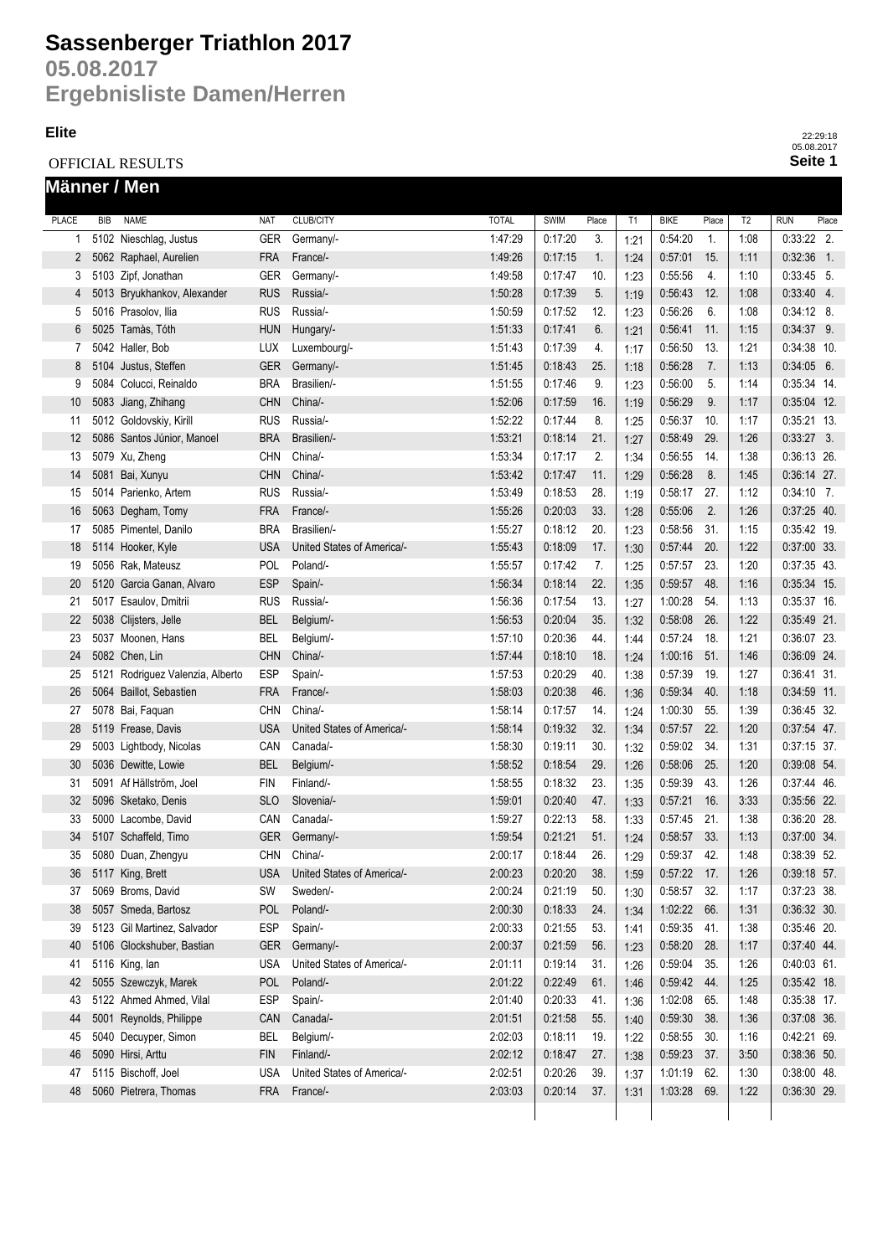# **Sassenberger Triathlon 2017**

**05.08.2017 Ergebnisliste Damen/Herren**

#### **Elite**

OFFICIAL RESULTS **Männer / Men**

| <b>PLACE</b>      | <b>BIB</b> | <b>NAME</b>                      | <b>NAT</b> | <b>CLUB/CITY</b>           | <b>TOTAL</b> | SWIM    | Place | T <sub>1</sub> | <b>BIKE</b>   | Place | T <sub>2</sub> | <b>RUN</b>    | Place |
|-------------------|------------|----------------------------------|------------|----------------------------|--------------|---------|-------|----------------|---------------|-------|----------------|---------------|-------|
| 1                 |            | 5102 Nieschlag, Justus           | <b>GER</b> | Germany/-                  | 1:47:29      | 0:17:20 | 3.    | 1:21           | 0:54:20       | 1.    | 1:08           | $0.33:22$ 2.  |       |
| 2                 |            | 5062 Raphael, Aurelien           | <b>FRA</b> | France/-                   | 1:49:26      | 0:17:15 | 1.    | 1:24           | 0:57:01       | 15.   | 1:11           | $0:32:36$ 1.  |       |
| 3                 |            | 5103 Zipf, Jonathan              | <b>GER</b> | Germany/-                  | 1:49:58      | 0:17:47 | 10.   | 1:23           | 0:55:56       | 4.    | 1:10           | $0:33:45$ 5.  |       |
| 4                 |            | 5013 Bryukhankov, Alexander      | <b>RUS</b> | Russia/-                   | 1:50:28      | 0:17:39 | 5.    | 1:19           | 0:56:43       | 12.   | 1:08           | $0:33:40$ 4.  |       |
| 5                 |            | 5016 Prasolov, Ilia              | <b>RUS</b> | Russia/-                   | 1:50:59      | 0:17:52 | 12.   | 1:23           | 0:56:26       | 6.    | 1:08           | $0:34:12$ 8.  |       |
| 6                 |            | 5025 Tamàs, Tóth                 | <b>HUN</b> | Hungary/-                  | 1:51:33      | 0:17:41 | 6.    | 1:21           | 0:56:41       | 11.   | 1:15           | $0:34:37$ 9.  |       |
| 7                 |            | 5042 Haller, Bob                 | <b>LUX</b> | Luxembourg/-               | 1:51:43      | 0:17:39 | 4.    | 1:17           | 0:56:50       | 13.   | 1:21           | 0:34:38 10.   |       |
| 8                 |            | 5104 Justus, Steffen             | <b>GER</b> | Germany/-                  | 1:51:45      | 0:18:43 | 25.   | 1:18           | 0:56:28       | 7.    | 1:13           | $0:34:05$ 6.  |       |
| 9                 |            | 5084 Colucci, Reinaldo           | <b>BRA</b> | Brasilien/-                | 1:51:55      | 0:17:46 | 9.    | 1:23           | 0:56:00       | 5.    | 1:14           | 0:35:34 14.   |       |
| 10                |            | 5083 Jiang, Zhihang              | <b>CHN</b> | China/-                    | 1:52:06      | 0:17:59 | 16.   | 1:19           | 0:56:29       | 9.    | 1:17           | 0:35:04 12.   |       |
| 11                |            | 5012 Goldovskiy, Kirill          | <b>RUS</b> | Russia/-                   | 1:52:22      | 0:17:44 | 8.    | 1:25           | 0:56:37       | 10.   | 1:17           | $0:35:21$ 13. |       |
| $12 \overline{ }$ |            | 5086 Santos Júnior, Manoel       | <b>BRA</b> | Brasilien/-                | 1:53:21      | 0:18:14 | 21.   | 1:27           | 0:58:49       | 29.   | 1:26           | $0:33:27$ 3.  |       |
| 13                |            | 5079 Xu, Zheng                   | <b>CHN</b> | China/-                    | 1:53:34      | 0:17:17 | 2.    | 1:34           | 0:56:55       | 14.   | 1:38           | 0:36:13 26.   |       |
| 14                |            | 5081 Bai, Xunyu                  | <b>CHN</b> | China/-                    | 1:53:42      | 0:17:47 | 11.   | 1:29           | 0:56:28       | 8.    | 1:45           | $0:36:14$ 27. |       |
| 15                |            | 5014 Parienko, Artem             | <b>RUS</b> | Russia/-                   | 1:53:49      | 0:18:53 | 28.   | 1:19           | 0:58:17       | 27.   | 1:12           | $0:34:10$ 7.  |       |
| 16                |            | 5063 Degham, Tomy                | <b>FRA</b> | France/-                   | 1:55:26      | 0:20:03 | 33.   | 1:28           | 0:55:06       | 2.    | 1:26           | $0:37:25$ 40. |       |
| 17                |            | 5085 Pimentel, Danilo            | <b>BRA</b> | Brasilien/-                | 1:55:27      | 0:18:12 | 20.   | 1:23           | 0:58:56       | 31.   | 1:15           | 0:35:42 19.   |       |
| 18                |            | 5114 Hooker, Kyle                | <b>USA</b> | United States of America/- | 1:55:43      | 0:18:09 | 17.   | 1:30           | 0.57.44       | 20.   | 1:22           | 0:37:00 33.   |       |
| 19                |            | 5056 Rak, Mateusz                | POL        | Poland/-                   | 1:55:57      | 0:17:42 | 7.    | 1:25           | 0:57:57       | 23.   | 1:20           | 0:37:35 43.   |       |
| 20                |            | 5120 Garcia Ganan, Alvaro        | <b>ESP</b> | Spain/-                    | 1:56:34      | 0:18:14 | 22.   | 1:35           | 0:59:57       | 48.   | 1:16           | 0:35:34 15.   |       |
| 21                |            | 5017 Esaulov, Dmitrii            | <b>RUS</b> | Russia/-                   | 1:56:36      | 0:17:54 | 13.   | 1:27           | 1:00:28       | 54.   | 1:13           | $0:35:37$ 16. |       |
| 22                |            | 5038 Clijsters, Jelle            | <b>BEL</b> | Belgium/-                  | 1:56:53      | 0:20:04 | 35.   | 1:32           | 0:58:08       | 26.   | 1:22           | $0:35:49$ 21. |       |
| 23                |            | 5037 Moonen, Hans                | <b>BEL</b> | Belgium/-                  | 1:57:10      | 0:20:36 | 44.   | 1:44           | 0:57:24       | 18.   | 1:21           | 0:36:07 23.   |       |
| 24                |            | 5082 Chen, Lin                   | <b>CHN</b> | China/-                    | 1:57:44      | 0:18:10 | 18.   | 1:24           | 1:00:16       | 51.   | 1:46           | 0:36:09 24.   |       |
| 25                |            | 5121 Rodriguez Valenzia, Alberto | <b>ESP</b> | Spain/-                    | 1:57:53      | 0:20:29 | 40.   | 1:38           | 0:57:39       | 19.   | 1:27           | 0:36:41 31.   |       |
| 26                |            | 5064 Baillot, Sebastien          | <b>FRA</b> | France/-                   | 1:58:03      | 0:20:38 | 46.   | 1:36           | 0:59:34       | 40.   | 1:18           | $0:34:59$ 11. |       |
| 27                |            | 5078 Bai, Faquan                 | <b>CHN</b> | China/-                    | 1:58:14      | 0:17:57 | 14.   | 1:24           | 1:00:30       | 55.   | 1:39           | 0:36:45 32.   |       |
| 28                |            | 5119 Frease, Davis               | <b>USA</b> | United States of America/- | 1:58:14      | 0:19:32 | 32.   | 1:34           | 0.57:57       | 22.   | 1:20           | $0:37:54$ 47. |       |
| 29                |            | 5003 Lightbody, Nicolas          | CAN        | Canada/-                   | 1:58:30      | 0:19:11 | 30.   | 1:32           | 0:59:02       | 34.   | 1:31           | $0:37:15$ 37. |       |
| 30                |            | 5036 Dewitte, Lowie              | <b>BEL</b> | Belgium/-                  | 1:58:52      | 0:18:54 | 29.   | 1:26           | 0:58:06       | 25.   | 1:20           | 0:39:08 54.   |       |
| 31                |            | 5091 Af Hällström, Joel          | <b>FIN</b> | Finland/-                  | 1:58:55      | 0:18:32 | 23.   | 1:35           | 0:59:39       | 43.   | 1:26           | 0:37:44 46.   |       |
| 32                |            | 5096 Sketako, Denis              | <b>SLO</b> | Slovenia/-                 | 1:59:01      | 0:20:40 | 47.   | 1:33           | 0.57.21       | 16.   | 3:33           | 0:35:56 22.   |       |
| 33                |            | 5000 Lacombe, David              | CAN        | Canada/-                   | 1:59:27      | 0:22:13 | 58.   | 1:33           | 0.57:45       | 21.   | 1:38           | 0:36:20 28.   |       |
| 34                |            | 5107 Schaffeld, Timo             | <b>GER</b> | Germany/-                  | 1:59:54      | 0:21:21 | 51.   | 1:24           | 0:58:57       | 33.   | 1:13           | 0:37:00 34.   |       |
| 35                |            | 5080 Duan, Zhengyu               | <b>CHN</b> | China/-                    | 2:00:17      | 0:18:44 | 26.   | 1:29           | 0:59:37       | 42.   | 1:48           | 0:38:39 52.   |       |
| 36                |            | 5117 King, Brett                 | <b>USA</b> | United States of America/- | 2:00:23      | 0:20:20 | 38.   | 1:59           | $0:57:22$ 17. |       | 1:26           | $0:39:18$ 57. |       |
| 37                |            | 5069 Broms, David                | SW         | Sweden/-                   | 2:00:24      | 0:21:19 | 50.   | 1:30           | 0:58:57       | 32.   | 1:17           | 0:37:23 38.   |       |
| 38                |            | 5057 Smeda, Bartosz              | <b>POL</b> | Poland/-                   | 2:00:30      | 0:18:33 | 24.   | 1:34           | 1:02:22       | 66.   | 1:31           | 0:36:32 30.   |       |
| 39                |            | 5123 Gil Martinez, Salvador      | <b>ESP</b> | Spain/-                    | 2:00:33      | 0:21:55 | 53.   | 1:41           | 0:59:35       | 41.   | 1:38           | 0:35:46 20.   |       |
| 40                |            | 5106 Glockshuber, Bastian        | <b>GER</b> | Germany/-                  | 2:00:37      | 0:21:59 | 56.   | 1:23           | 0:58:20       | 28.   | 1:17           | $0:37:40$ 44. |       |
| 41                |            | 5116 King, lan                   | <b>USA</b> | United States of America/- | 2:01:11      | 0:19:14 | 31.   | 1:26           | 0:59:04       | 35.   | 1:26           | $0:40:03$ 61. |       |
| 42                |            | 5055 Szewczyk, Marek             | <b>POL</b> | Poland/-                   | 2:01:22      | 0:22:49 | 61.   | 1:46           | 0:59:42       | 44.   | 1:25           | $0:35:42$ 18. |       |
| 43                |            | 5122 Ahmed Ahmed, Vilal          | <b>ESP</b> | Spain/-                    | 2:01:40      | 0:20:33 | 41.   | 1:36           | 1:02:08       | 65.   | 1:48           | 0:35:38 17.   |       |
| 44                |            | 5001 Reynolds, Philippe          | CAN        | Canada/-                   | 2:01:51      | 0:21:58 | 55.   | 1:40           | 0:59:30       | 38.   | 1:36           | $0:37:08$ 36. |       |
| 45                |            | 5040 Decuyper, Simon             | <b>BEL</b> | Belgium/-                  | 2:02:03      | 0:18:11 | 19.   | 1:22           | 0:58:55       | 30.   | 1:16           | 0:42:21 69.   |       |
| 46                |            | 5090 Hirsi, Arttu                | <b>FIN</b> | Finland/-                  | 2:02:12      | 0:18:47 | 27.   | 1:38           | 0:59:23       | 37.   | 3:50           | $0:38:36$ 50. |       |
| 47                |            | 5115 Bischoff, Joel              | <b>USA</b> | United States of Americal- | 2:02:51      | 0:20:26 | 39.   | 1:37           | 1:01:19       | 62.   | 1:30           | $0:38:00$ 48. |       |
| 48                |            | 5060 Pietrera, Thomas            | <b>FRA</b> | France/-                   | 2:03:03      | 0:20:14 | 37.   | 1:31           | 1:03:28 69.   |       | 1:22           | $0:36:30$ 29. |       |
|                   |            |                                  |            |                            |              |         |       |                |               |       |                |               |       |

**Seite 1** 22:29:18 05.08.2017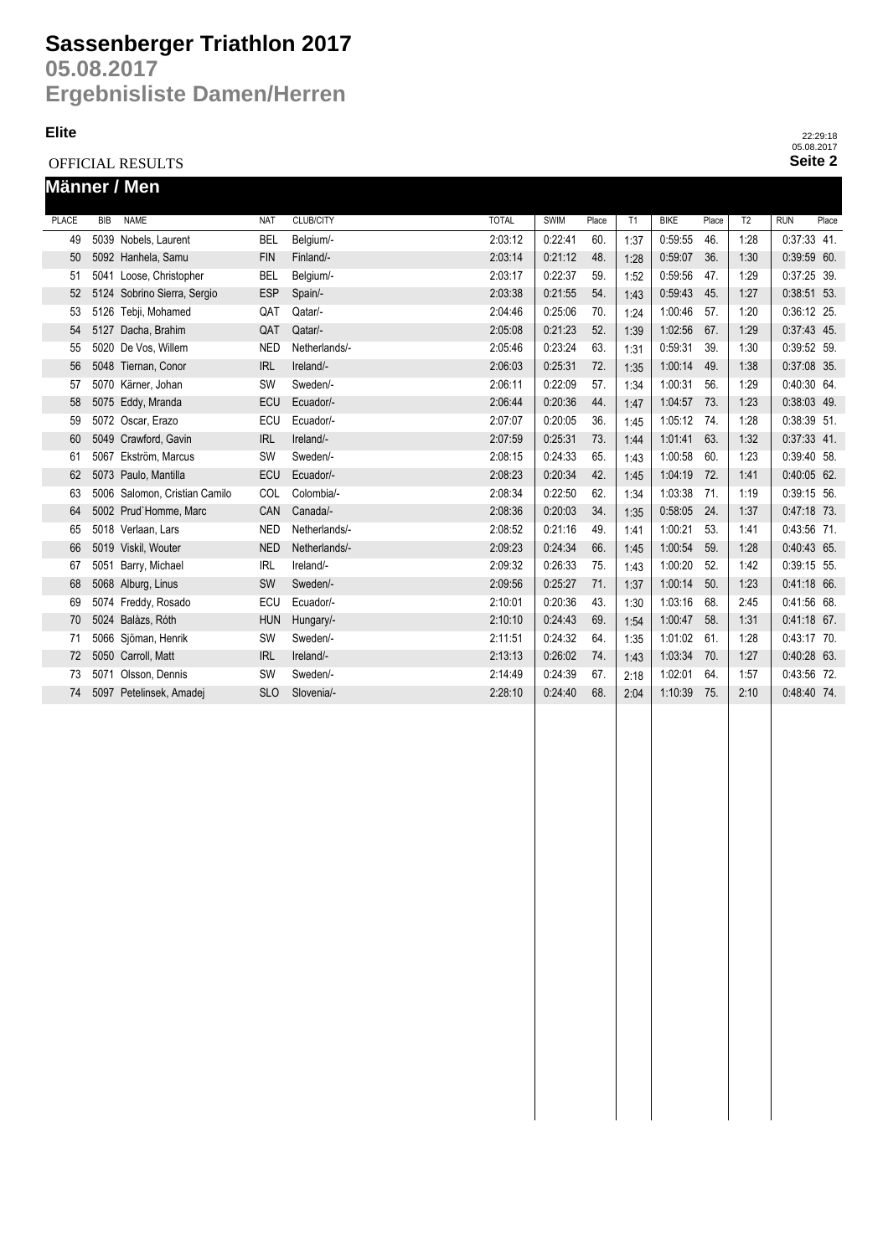### **Sassenberger Triathlon 2017**

**05.08.2017 Ergebnisliste Damen/Herren**

#### **Elite**

OFFICIAL RESULTS

| Männer / Men |            |                               |            |                  |              |             |       |      |             |       |                |               |       |
|--------------|------------|-------------------------------|------------|------------------|--------------|-------------|-------|------|-------------|-------|----------------|---------------|-------|
| <b>PLACE</b> | <b>BIB</b> | <b>NAME</b>                   | <b>NAT</b> | <b>CLUB/CITY</b> | <b>TOTAL</b> | <b>SWIM</b> | Place | T1   | <b>BIKE</b> | Place | T <sub>2</sub> | <b>RUN</b>    | Place |
| 49           |            | 5039 Nobels, Laurent          | <b>BEL</b> | Belgium/-        | 2:03:12      | 0:22:41     | 60.   | 1:37 | 0:59:55     | 46.   | 1:28           | $0:37:33$ 41. |       |
| 50           |            | 5092 Hanhela, Samu            | <b>FIN</b> | Finland/-        | 2:03:14      | 0:21:12     | 48.   | 1:28 | 0:59:07     | 36.   | 1:30           | 0:39:59 60.   |       |
| 51           |            | 5041 Loose, Christopher       | <b>BEL</b> | Belgium/-        | 2:03:17      | 0:22:37     | 59.   | 1:52 | 0:59:56     | 47.   | 1:29           | 0:37:25 39.   |       |
| 52           |            | 5124 Sobrino Sierra, Sergio   | <b>ESP</b> | Spain/-          | 2:03:38      | 0:21:55     | 54.   | 1:43 | 0:59:43     | 45.   | 1:27           | $0:38:51$ 53. |       |
| 53           |            | 5126 Tebji, Mohamed           | QAT        | Qatar/-          | 2:04:46      | 0:25:06     | 70.   | 1:24 | 1:00:46     | 57.   | 1:20           | 0:36:12 25.   |       |
| 54           |            | 5127 Dacha, Brahim            | QAT        | Qatar/-          | 2:05:08      | 0:21:23     | 52.   | 1:39 | 1:02:56     | 67.   | 1:29           | 0:37:43 45.   |       |
| 55           |            | 5020 De Vos, Willem           | <b>NED</b> | Netherlands/-    | 2:05:46      | 0:23:24     | 63.   | 1:31 | 0:59:31     | 39.   | 1:30           | 0:39:52 59.   |       |
| 56           |            | 5048 Tiernan, Conor           | <b>IRL</b> | Ireland/-        | 2:06:03      | 0:25:31     | 72.   | 1:35 | 1:00:14     | 49.   | 1:38           | 0:37:08 35.   |       |
| 57           |            | 5070 Kärner, Johan            | SW         | Sweden/-         | 2:06:11      | 0:22:09     | 57.   | 1:34 | 1:00:31     | 56.   | 1:29           | 0:40:30 64.   |       |
| 58           |            | 5075 Eddy, Mranda             | <b>ECU</b> | Ecuador/-        | 2:06:44      | 0:20:36     | 44.   | 1:47 | 1:04:57     | 73.   | 1:23           | 0:38:03 49.   |       |
| 59           |            | 5072 Oscar, Erazo             | ECU        | Ecuador/-        | 2:07:07      | 0:20:05     | 36.   | 1:45 | 1:05:12     | 74.   | 1:28           | 0:38:39 51.   |       |
| 60           |            | 5049 Crawford, Gavin          | <b>IRL</b> | Ireland/-        | 2:07:59      | 0:25:31     | 73.   | 1:44 | 1:01:41     | 63.   | 1:32           | $0:37:33$ 41. |       |
| 61           |            | 5067 Ekström. Marcus          | <b>SW</b>  | Sweden/-         | 2:08:15      | 0:24:33     | 65.   | 1:43 | 1:00:58     | 60.   | 1:23           | 0:39:40 58.   |       |
| 62           |            | 5073 Paulo, Mantilla          | ECU        | Ecuador/-        | 2:08:23      | 0:20:34     | 42.   | 1:45 | 1:04:19     | 72.   | 1:41           | 0:40:05 62.   |       |
| 63           |            | 5006 Salomon, Cristian Camilo | COL        | Colombia/-       | 2:08:34      | 0:22:50     | 62.   | 1:34 | 1:03:38     | 71.   | 1:19           | 0:39:15 56.   |       |
| 64           |            | 5002 Prud'Homme, Marc         | CAN        | Canada/-         | 2:08:36      | 0:20:03     | 34.   | 1:35 | 0:58:05     | 24.   | 1:37           | 0:47:18 73.   |       |
| 65           |            | 5018 Verlaan, Lars            | <b>NED</b> | Netherlands/-    | 2:08:52      | 0:21:16     | 49.   | 1:41 | 1:00:21     | 53.   | 1:41           | 0:43:56 71.   |       |
| 66           |            | 5019 Viskil, Wouter           | <b>NED</b> | Netherlands/-    | 2:09:23      | 0:24:34     | 66.   | 1:45 | 1:00:54     | 59.   | 1:28           | 0:40:43 65.   |       |
| 67           |            | 5051 Barry, Michael           | <b>IRL</b> | Ireland/-        | 2:09:32      | 0:26:33     | 75.   | 1:43 | 1:00:20     | 52.   | 1:42           | 0:39:15 55.   |       |
| 68           |            | 5068 Alburg, Linus            | SW         | Sweden/-         | 2:09:56      | 0:25:27     | 71.   | 1:37 | 1:00:14     | 50.   | 1:23           | 0:41:18 66.   |       |
| 69           |            | 5074 Freddy, Rosado           | ECU        | Ecuador/-        | 2:10:01      | 0:20:36     | 43.   | 1:30 | 1:03:16     | 68.   | 2:45           | 0:41:56 68.   |       |
| 70           |            | 5024 Balàzs, Róth             | <b>HUN</b> | Hungary/-        | 2:10:10      | 0.24.43     | 69.   | 1:54 | 1:00:47     | 58.   | 1:31           | $0.41:18$ 67. |       |
| 71           |            | 5066 Sjöman, Henrik           | <b>SW</b>  | Sweden/-         | 2:11:51      | 0:24:32     | 64.   | 1:35 | 1:01:02     | 61.   | 1:28           | 0:43:17 70.   |       |
| 72           |            | 5050 Carroll, Matt            | <b>IRL</b> | Ireland/-        | 2:13:13      | 0:26:02     | 74.   | 1:43 | 1:03:34     | 70.   | 1:27           | 0:40:28 63.   |       |
| 73           |            | 5071 Olsson, Dennis           | <b>SW</b>  | Sweden/-         | 2:14:49      | 0:24:39     | 67.   | 2:18 | 1:02:01     | 64.   | 1:57           | 0:43:56 72.   |       |
| 74           |            | 5097 Petelinsek, Amadej       | <b>SLO</b> | Slovenia/-       | 2:28:10      | 0.24.40     | 68.   | 2:04 | 1:10:39     | 75.   | 2:10           | 0:48:40 74.   |       |

**Seite 2** 22:29:18 05.08.2017